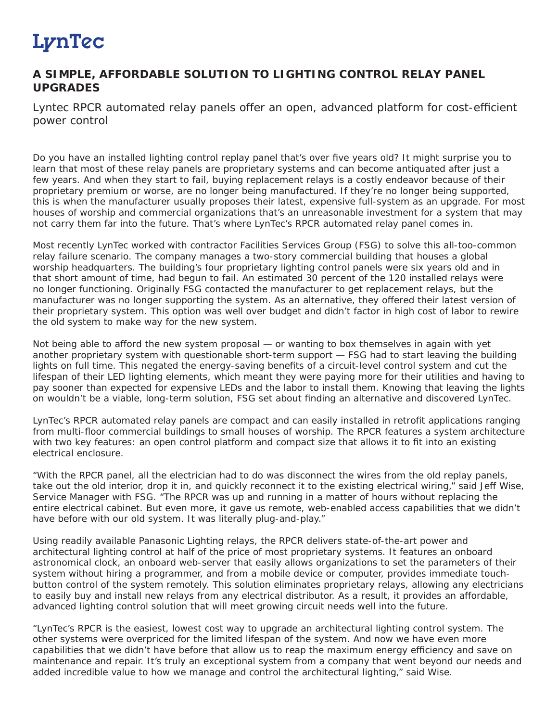## LynTec

## **A SIMPLE, AFFORDABLE SOLUTION TO LIGHTING CONTROL RELAY PANEL UPGRADES**

Lyntec RPCR automated relay panels offer an open, advanced platform for cost-efficient *power control*

Do you have an installed lighting control replay panel that's over five years old? It might surprise you to learn that most of these relay panels are proprietary systems and can become antiquated after just a few years. And when they start to fail, buying replacement relays is a costly endeavor because of their proprietary premium or worse, are no longer being manufactured. If they're no longer being supported, this is when the manufacturer usually proposes their latest, expensive full-system as an upgrade. For most houses of worship and commercial organizations that's an unreasonable investment for a system that may not carry them far into the future. That's where LynTec's RPCR automated relay panel comes in.

Most recently LynTec worked with contractor Facilities Services Group (FSG) to solve this all-too-common relay failure scenario. The company manages a two-story commercial building that houses a global worship headquarters. The building's four proprietary lighting control panels were six years old and in that short amount of time, had begun to fail. An estimated 30 percent of the 120 installed relays were no longer functioning. Originally FSG contacted the manufacturer to get replacement relays, but the manufacturer was no longer supporting the system. As an alternative, they offered their latest version of their proprietary system. This option was well over budget and didn't factor in high cost of labor to rewire the old system to make way for the new system.

Not being able to afford the new system proposal — or wanting to box themselves in again with yet another proprietary system with questionable short-term support — FSG had to start leaving the building lights on full time. This negated the energy-saving benefits of a circuit-level control system and cut the lifespan of their LED lighting elements, which meant they were paying more for their utilities and having to pay sooner than expected for expensive LEDs and the labor to install them. Knowing that leaving the lights on wouldn't be a viable, long-term solution, FSG set about finding an alternative and discovered LynTec.

LynTec's RPCR automated relay panels are compact and can easily installed in retrofit applications ranging from multi-floor commercial buildings to small houses of worship. The RPCR features a system architecture with two key features: an open control platform and compact size that allows it to fit into an existing electrical enclosure.

"With the RPCR panel, all the electrician had to do was disconnect the wires from the old replay panels, take out the old interior, drop it in, and quickly reconnect it to the existing electrical wiring," said Jeff Wise, Service Manager with FSG. "The RPCR was up and running in a matter of hours without replacing the entire electrical cabinet. But even more, it gave us remote, web-enabled access capabilities that we didn't have before with our old system. It was literally plug-and-play."

Using readily available Panasonic Lighting relays, the RPCR delivers state-of-the-art power and architectural lighting control at half of the price of most proprietary systems. It features an onboard astronomical clock, an onboard web-server that easily allows organizations to set the parameters of their system without hiring a programmer, and from a mobile device or computer, provides immediate touchbutton control of the system remotely. This solution eliminates proprietary relays, allowing any electricians to easily buy and install new relays from any electrical distributor. As a result, it provides an affordable, advanced lighting control solution that will meet growing circuit needs well into the future.

"LynTec's RPCR is the easiest, lowest cost way to upgrade an architectural lighting control system. The other systems were overpriced for the limited lifespan of the system. And now we have even more capabilities that we didn't have before that allow us to reap the maximum energy efficiency and save on maintenance and repair. It's truly an exceptional system from a company that went beyond our needs and added incredible value to how we manage and control the architectural lighting," said Wise.